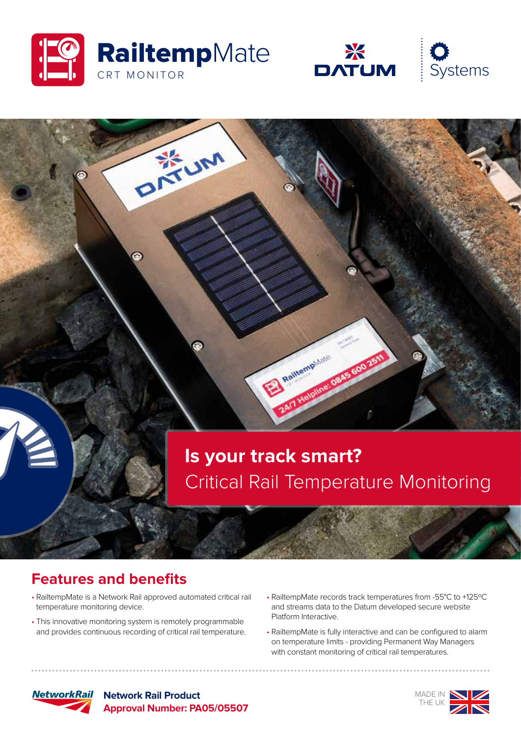





# **Is your track smart?** Critical Rail Temperature Monitoring

### **Features and benefits**

- RailtempMate is a Network Rail approved automated critical rail temperature monitoring device.
- This innovative monitoring system is remotely programmable and provides continuous recording of critical rail temperature.
- RailtempMate records track temperatures from -55°C to +125ºC and streams data to the Datum developed secure website Platform Interactive.
- RailtempMate is fully interactive and can be configured to alarm on temperature limits - providing Permanent Way Managers with constant monitoring of critical rail temperatures.



**Network Rail Product Approval Number: PA05/05507**